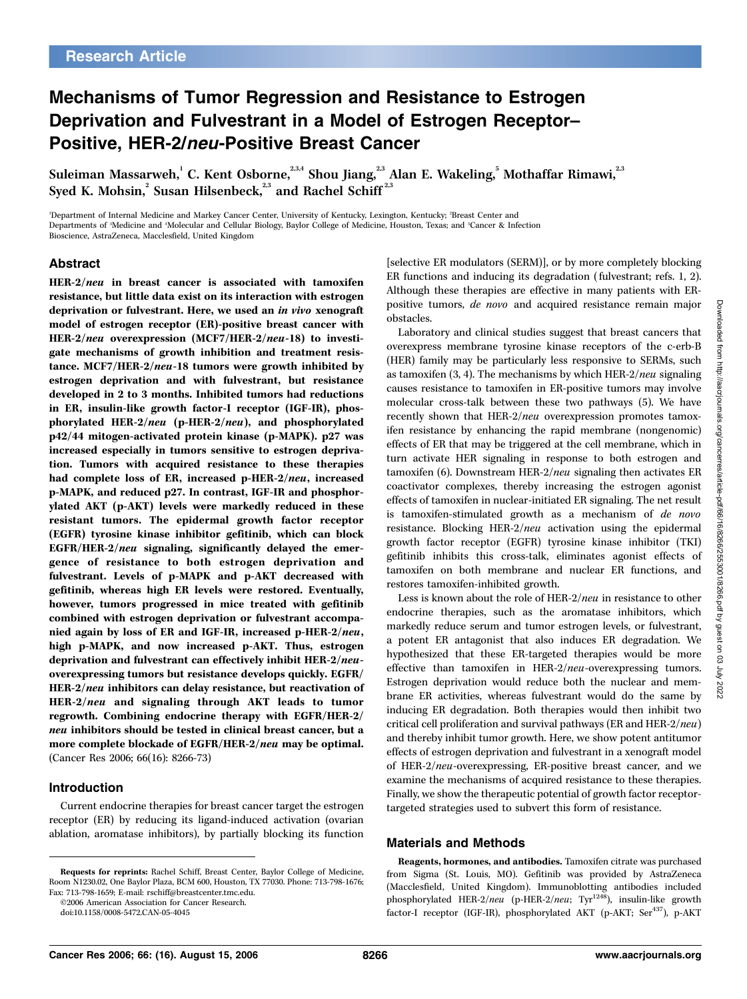# Mechanisms of Tumor Regression and Resistance to Estrogen Deprivation and Fulvestrant in a Model of Estrogen Receptor– Positive, HER-2/neu-Positive Breast Cancer

Suleiman Massarweh, $^1$  C. Kent Osborne, $^{^{2,3,4}}$  Shou Jiang, $^{^{2,3}}$  Alan E. Wakeling, $^5$  Mothaffar Rimawi, $^{^{2,3}}$ Syed K. Mohsin, $^2$  Susan Hilsenbeck, $^{2,3}$  and Rachel Schiff  $^{2,3}$ 

'Department of Internal Medicine and Markey Cancer Center, University of Kentucky, Lexington, Kentucky; <sup>2</sup>Breast Center and Departments of <sup>s</sup>Medicine and 'Molecular and Cellular Biology, Baylor College of Medicine, Houston, Texas; and <sup>s</sup>Cancer & Infection Bioscience, AstraZeneca, Macclesfield, United Kingdom

## Abstract

HER-2/neu in breast cancer is associated with tamoxifen resistance, but little data exist on its interaction with estrogen deprivation or fulvestrant. Here, we used an in vivo xenograft model of estrogen receptor (ER)-positive breast cancer with HER-2/neu overexpression (MCF7/HER-2/neu-18) to investigate mechanisms of growth inhibition and treatment resistance. MCF7/HER-2/neu-18 tumors were growth inhibited by estrogen deprivation and with fulvestrant, but resistance developed in 2 to 3 months. Inhibited tumors had reductions in ER, insulin-like growth factor-I receptor (IGF-IR), phosphorylated HER-2/neu (p-HER-2/neu), and phosphorylated p42/44 mitogen-activated protein kinase (p-MAPK). p27 was increased especially in tumors sensitive to estrogen deprivation. Tumors with acquired resistance to these therapies had complete loss of ER, increased p-HER-2/neu, increased p-MAPK, and reduced p27. In contrast, IGF-IR and phosphorylated AKT (p-AKT) levels were markedly reduced in these resistant tumors. The epidermal growth factor receptor (EGFR) tyrosine kinase inhibitor gefitinib, which can block EGFR/HER-2/neu signaling, significantly delayed the emergence of resistance to both estrogen deprivation and fulvestrant. Levels of p-MAPK and p-AKT decreased with gefitinib, whereas high ER levels were restored. Eventually, however, tumors progressed in mice treated with gefitinib combined with estrogen deprivation or fulvestrant accompanied again by loss of ER and IGF-IR, increased p-HER-2/neu, high p-MAPK, and now increased p-AKT. Thus, estrogen deprivation and fulvestrant can effectively inhibit HER-2/neuoverexpressing tumors but resistance develops quickly. EGFR/ HER-2/neu inhibitors can delay resistance, but reactivation of HER-2/neu and signaling through AKT leads to tumor regrowth. Combining endocrine therapy with EGFR/HER-2/ neu inhibitors should be tested in clinical breast cancer, but a more complete blockade of EGFR/HER-2/neu may be optimal. (Cancer Res 2006; 66(16): 8266-73)

## Introduction

Current endocrine therapies for breast cancer target the estrogen receptor (ER) by reducing its ligand-induced activation (ovarian ablation, aromatase inhibitors), by partially blocking its function

©2006 American Association for Cancer Research.

[selective ER modulators (SERM)], or by more completely blocking ER functions and inducing its degradation (fulvestrant; refs. 1, 2). Although these therapies are effective in many patients with ERpositive tumors, de novo and acquired resistance remain major obstacles.

Laboratory and clinical studies suggest that breast cancers that overexpress membrane tyrosine kinase receptors of the c-erb-B (HER) family may be particularly less responsive to SERMs, such as tamoxifen  $(3, 4)$ . The mechanisms by which HER- $2/neu$  signaling causes resistance to tamoxifen in ER-positive tumors may involve molecular cross-talk between these two pathways (5). We have recently shown that HER-2/neu overexpression promotes tamoxifen resistance by enhancing the rapid membrane (nongenomic) effects of ER that may be triggered at the cell membrane, which in turn activate HER signaling in response to both estrogen and tamoxifen (6). Downstream HER-2/neu signaling then activates ER coactivator complexes, thereby increasing the estrogen agonist effects of tamoxifen in nuclear-initiated ER signaling. The net result is tamoxifen-stimulated growth as a mechanism of de novo resistance. Blocking HER-2/neu activation using the epidermal growth factor receptor (EGFR) tyrosine kinase inhibitor (TKI) gefitinib inhibits this cross-talk, eliminates agonist effects of tamoxifen on both membrane and nuclear ER functions, and restores tamoxifen-inhibited growth.

Less is known about the role of HER-2/neu in resistance to other endocrine therapies, such as the aromatase inhibitors, which markedly reduce serum and tumor estrogen levels, or fulvestrant, a potent ER antagonist that also induces ER degradation. We hypothesized that these ER-targeted therapies would be more effective than tamoxifen in HER-2/neu-overexpressing tumors. Estrogen deprivation would reduce both the nuclear and membrane ER activities, whereas fulvestrant would do the same by inducing ER degradation. Both therapies would then inhibit two critical cell proliferation and survival pathways (ER and HER-2/neu) and thereby inhibit tumor growth. Here, we show potent antitumor effects of estrogen deprivation and fulvestrant in a xenograft model of HER-2/neu-overexpressing, ER-positive breast cancer, and we examine the mechanisms of acquired resistance to these therapies. Finally, we show the therapeutic potential of growth factor receptortargeted strategies used to subvert this form of resistance.

## Materials and Methods

Reagents, hormones, and antibodies. Tamoxifen citrate was purchased from Sigma (St. Louis, MO). Gefitinib was provided by AstraZeneca (Macclesfield, United Kingdom). Immunoblotting antibodies included phosphorylated HER-2/neu (p-HER-2/neu; Tyr<sup>1248</sup>), insulin-like growth factor-I receptor (IGF-IR), phosphorylated AKT (p-AKT; Ser<sup>437</sup>), p-AKT

Requests for reprints: Rachel Schiff, Breast Center, Baylor College of Medicine, Room N1230.02, One Baylor Plaza, BCM 600, Houston, TX 77030. Phone: 713-798-1676; Fax: 713-798-1659; E-mail: rschiff@breastcenter.tmc.edu.

doi:10.1158/0008-5472.CAN-05-4045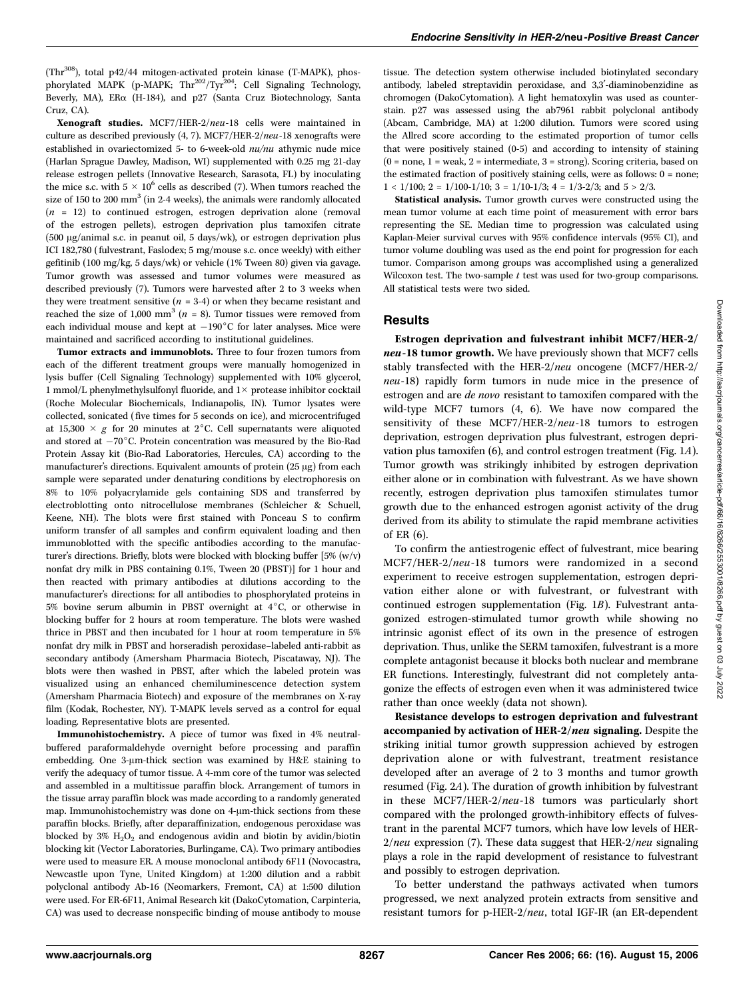(Thr308), total p42/44 mitogen-activated protein kinase (T-MAPK), phosphorylated MAPK (p-MAPK; Thr<sup>202</sup>/Tyr<sup>204</sup>; Cell Signaling Technology, Beverly, MA), ERa (H-184), and p27 (Santa Cruz Biotechnology, Santa Cruz, CA).

Xenograft studies. MCF7/HER-2/neu-18 cells were maintained in culture as described previously (4, 7). MCF7/HER-2/neu-18 xenografts were established in ovariectomized 5- to 6-week-old nu/nu athymic nude mice (Harlan Sprague Dawley, Madison, WI) supplemented with 0.25 mg 21-day release estrogen pellets (Innovative Research, Sarasota, FL) by inoculating the mice s.c. with  $5 \times 10^6$  cells as described (7). When tumors reached the size of 150 to 200  $mm<sup>3</sup>$  (in 2-4 weeks), the animals were randomly allocated  $(n = 12)$  to continued estrogen, estrogen deprivation alone (removal of the estrogen pellets), estrogen deprivation plus tamoxifen citrate (500  $\mu$ g/animal s.c. in peanut oil, 5 days/wk), or estrogen deprivation plus ICI 182,780 (fulvestrant, Faslodex; 5 mg/mouse s.c. once weekly) with either gefitinib (100 mg/kg, 5 days/wk) or vehicle (1% Tween 80) given via gavage. Tumor growth was assessed and tumor volumes were measured as described previously (7). Tumors were harvested after 2 to 3 weeks when they were treatment sensitive  $(n = 3-4)$  or when they became resistant and reached the size of 1,000 mm<sup>3</sup> ( $n = 8$ ). Tumor tissues were removed from each individual mouse and kept at  $-190^{\circ}$ C for later analyses. Mice were maintained and sacrificed according to institutional guidelines.

Tumor extracts and immunoblots. Three to four frozen tumors from each of the different treatment groups were manually homogenized in lysis buffer (Cell Signaling Technology) supplemented with 10% glycerol, 1 mmol/L phenylmethylsulfonyl fluoride, and  $1\times$  protease inhibitor cocktail (Roche Molecular Biochemicals, Indianapolis, IN). Tumor lysates were collected, sonicated (five times for 5 seconds on ice), and microcentrifuged at 15,300  $\times$  g for 20 minutes at 2<sup>°</sup>C. Cell supernatants were aliquoted and stored at  $-70^{\circ}$ C. Protein concentration was measured by the Bio-Rad Protein Assay kit (Bio-Rad Laboratories, Hercules, CA) according to the manufacturer's directions. Equivalent amounts of protein  $(25 \mu g)$  from each sample were separated under denaturing conditions by electrophoresis on 8% to 10% polyacrylamide gels containing SDS and transferred by electroblotting onto nitrocellulose membranes (Schleicher & Schuell, Keene, NH). The blots were first stained with Ponceau S to confirm uniform transfer of all samples and confirm equivalent loading and then immunoblotted with the specific antibodies according to the manufacturer's directions. Briefly, blots were blocked with blocking buffer [5% (w/v) nonfat dry milk in PBS containing 0.1%, Tween 20 (PBST)] for 1 hour and then reacted with primary antibodies at dilutions according to the manufacturer's directions: for all antibodies to phosphorylated proteins in 5% bovine serum albumin in PBST overnight at  $4^{\circ}$ C, or otherwise in blocking buffer for 2 hours at room temperature. The blots were washed thrice in PBST and then incubated for 1 hour at room temperature in 5% nonfat dry milk in PBST and horseradish peroxidase–labeled anti-rabbit as secondary antibody (Amersham Pharmacia Biotech, Piscataway, NJ). The blots were then washed in PBST, after which the labeled protein was visualized using an enhanced chemiluminescence detection system (Amersham Pharmacia Biotech) and exposure of the membranes on X-ray film (Kodak, Rochester, NY). T-MAPK levels served as a control for equal loading. Representative blots are presented.

Immunohistochemistry. A piece of tumor was fixed in 4% neutralbuffered paraformaldehyde overnight before processing and paraffin embedding. One 3-µm-thick section was examined by H&E staining to verify the adequacy of tumor tissue. A 4-mm core of the tumor was selected and assembled in a multitissue paraffin block. Arrangement of tumors in the tissue array paraffin block was made according to a randomly generated map. Immunohistochemistry was done on  $4\text{-}\mu\text{m}$ -thick sections from these paraffin blocks. Briefly, after deparaffinization, endogenous peroxidase was blocked by  $3\%$  H<sub>2</sub>O<sub>2</sub> and endogenous avidin and biotin by avidin/biotin blocking kit (Vector Laboratories, Burlingame, CA). Two primary antibodies were used to measure ER. A mouse monoclonal antibody 6F11 (Novocastra, Newcastle upon Tyne, United Kingdom) at 1:200 dilution and a rabbit polyclonal antibody Ab-16 (Neomarkers, Fremont, CA) at 1:500 dilution were used. For ER-6F11, Animal Research kit (DakoCytomation, Carpinteria, CA) was used to decrease nonspecific binding of mouse antibody to mouse

tissue. The detection system otherwise included biotinylated secondary antibody, labeled streptavidin peroxidase, and 3,3'-diaminobenzidine as chromogen (DakoCytomation). A light hematoxylin was used as counterstain. p27 was assessed using the ab7961 rabbit polyclonal antibody (Abcam, Cambridge, MA) at 1:200 dilution. Tumors were scored using the Allred score according to the estimated proportion of tumor cells that were positively stained (0-5) and according to intensity of staining  $(0 = none, 1 = weak, 2 = intermediate, 3 = strong)$ . Scoring criteria, based on the estimated fraction of positively staining cells, were as follows: 0 = none;  $1 < 1/100$ ;  $2 = 1/100-1/10$ ;  $3 = 1/10-1/3$ ;  $4 = 1/3-2/3$ ; and  $5 > 2/3$ .

Statistical analysis. Tumor growth curves were constructed using the mean tumor volume at each time point of measurement with error bars representing the SE. Median time to progression was calculated using Kaplan-Meier survival curves with 95% confidence intervals (95% CI), and tumor volume doubling was used as the end point for progression for each tumor. Comparison among groups was accomplished using a generalized Wilcoxon test. The two-sample  $t$  test was used for two-group comparisons. All statistical tests were two sided.

#### **Results**

Estrogen deprivation and fulvestrant inhibit MCF7/HER-2/ neu-18 tumor growth. We have previously shown that MCF7 cells stably transfected with the HER-2/neu oncogene (MCF7/HER-2/ neu-18) rapidly form tumors in nude mice in the presence of estrogen and are de novo resistant to tamoxifen compared with the wild-type MCF7 tumors (4, 6). We have now compared the sensitivity of these MCF7/HER-2/neu-18 tumors to estrogen deprivation, estrogen deprivation plus fulvestrant, estrogen deprivation plus tamoxifen (6), and control estrogen treatment (Fig. 1A). Tumor growth was strikingly inhibited by estrogen deprivation either alone or in combination with fulvestrant. As we have shown recently, estrogen deprivation plus tamoxifen stimulates tumor growth due to the enhanced estrogen agonist activity of the drug derived from its ability to stimulate the rapid membrane activities of ER (6).

To confirm the antiestrogenic effect of fulvestrant, mice bearing MCF7/HER-2/neu-18 tumors were randomized in a second experiment to receive estrogen supplementation, estrogen deprivation either alone or with fulvestrant, or fulvestrant with continued estrogen supplementation (Fig. 1B). Fulvestrant antagonized estrogen-stimulated tumor growth while showing no intrinsic agonist effect of its own in the presence of estrogen deprivation. Thus, unlike the SERM tamoxifen, fulvestrant is a more complete antagonist because it blocks both nuclear and membrane ER functions. Interestingly, fulvestrant did not completely antagonize the effects of estrogen even when it was administered twice rather than once weekly (data not shown).

Resistance develops to estrogen deprivation and fulvestrant accompanied by activation of HER-2/neu signaling. Despite the striking initial tumor growth suppression achieved by estrogen deprivation alone or with fulvestrant, treatment resistance developed after an average of 2 to 3 months and tumor growth resumed (Fig. 2A). The duration of growth inhibition by fulvestrant in these MCF7/HER-2/neu-18 tumors was particularly short compared with the prolonged growth-inhibitory effects of fulvestrant in the parental MCF7 tumors, which have low levels of HER- $2/neu$  expression (7). These data suggest that HER- $2/neu$  signaling plays a role in the rapid development of resistance to fulvestrant and possibly to estrogen deprivation.

To better understand the pathways activated when tumors progressed, we next analyzed protein extracts from sensitive and resistant tumors for p-HER-2/neu, total IGF-IR (an ER-dependent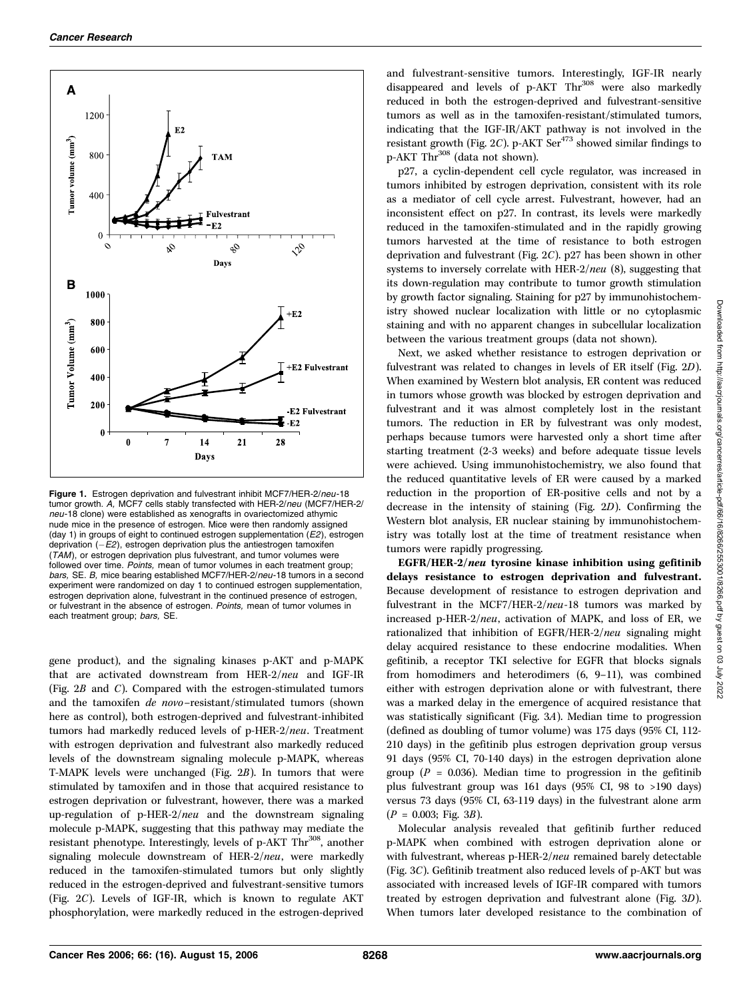

**Figure 1.** Estrogen deprivation and fulvestrant inhibit MCF7/HER-2/*neu-*18<br>tumor growth. A, MCF7 cells stably transfected with HER-2/neu (MCF7/HER-2/<br>*neu-*18 clone) were established as xenografts in ovariectomized athym neu-18 clone) were established as xenografts in ovariectomized athymic nude mice in the presence of estrogen. Mice were then randomly assigned (day 1) in groups of eight to continued estrogen supplementation  $(E2)$ , estrogen deprivation (–*E2*), estrogen deprivation plus the antiestrogen tamoxifen<br>(T4M), or estrogen deprivation plus fulvestrant, and tumor volumes wer (TAM), or estrogen deprivation plus fulvestrant, and tumor volumes were followed over time. Points, mean of tumor volumes in each treatment group; bars, SE. B, mice bearing established MCF7/HER-2/neu-18 tumors in a second experiment were randomized on day 1 to continued estrogen supplementation, estrogen deprivation alone, fulvestrant in the continued presence of estrogen, or fulvestrant in the absence of estrogen. Points, mean of tumor volumes in each treatment group; bars, SE.

gene product), and the signaling kinases p-AKT and p-MAPK that are activated downstream from HER-2/neu and IGF-IR (Fig. 2B and C). Compared with the estrogen-stimulated tumors and the tamoxifen de novo–resistant/stimulated tumors (shown here as control), both estrogen-deprived and fulvestrant-inhibited tumors had markedly reduced levels of p-HER-2/neu. Treatment with estrogen deprivation and fulvestrant also markedly reduced levels of the downstream signaling molecule p-MAPK, whereas T-MAPK levels were unchanged (Fig. 2B). In tumors that were stimulated by tamoxifen and in those that acquired resistance to estrogen deprivation or fulvestrant, however, there was a marked up-regulation of  $p$ -HER- $2/neu$  and the downstream signaling molecule p-MAPK, suggesting that this pathway may mediate the resistant phenotype. Interestingly, levels of p-AKT Thr<sup>308</sup>, another signaling molecule downstream of HER-2/neu, were markedly reduced in the tamoxifen-stimulated tumors but only slightly reduced in the estrogen-deprived and fulvestrant-sensitive tumors (Fig. 2C). Levels of IGF-IR, which is known to regulate AKT phosphorylation, were markedly reduced in the estrogen-deprived

and fulvestrant-sensitive tumors. Interestingly, IGF-IR nearly disappeared and levels of p-AKT Thr<sup>308</sup> were also markedly reduced in both the estrogen-deprived and fulvestrant-sensitive tumors as well as in the tamoxifen-resistant/stimulated tumors, indicating that the IGF-IR/AKT pathway is not involved in the resistant growth (Fig. 2C). p-AKT  $\text{Ser}^{473}$  showed similar findings to p-AKT Thr<sup>308</sup> (data not shown).

p27, a cyclin-dependent cell cycle regulator, was increased in tumors inhibited by estrogen deprivation, consistent with its role as a mediator of cell cycle arrest. Fulvestrant, however, had an inconsistent effect on p27. In contrast, its levels were markedly reduced in the tamoxifen-stimulated and in the rapidly growing tumors harvested at the time of resistance to both estrogen deprivation and fulvestrant (Fig. 2C). p27 has been shown in other systems to inversely correlate with HER-2/neu (8), suggesting that its down-regulation may contribute to tumor growth stimulation by growth factor signaling. Staining for p27 by immunohistochemistry showed nuclear localization with little or no cytoplasmic staining and with no apparent changes in subcellular localization between the various treatment groups (data not shown).

Next, we asked whether resistance to estrogen deprivation or fulvestrant was related to changes in levels of ER itself (Fig. 2D). When examined by Western blot analysis, ER content was reduced in tumors whose growth was blocked by estrogen deprivation and fulvestrant and it was almost completely lost in the resistant tumors. The reduction in ER by fulvestrant was only modest, perhaps because tumors were harvested only a short time after starting treatment (2-3 weeks) and before adequate tissue levels were achieved. Using immunohistochemistry, we also found that the reduced quantitative levels of ER were caused by a marked reduction in the proportion of ER-positive cells and not by a decrease in the intensity of staining (Fig. 2D). Confirming the Western blot analysis, ER nuclear staining by immunohistochemistry was totally lost at the time of treatment resistance when tumors were rapidly progressing.

EGFR/HER-2/neu tyrosine kinase inhibition using gefitinib delays resistance to estrogen deprivation and fulvestrant. Because development of resistance to estrogen deprivation and fulvestrant in the MCF7/HER-2/neu-18 tumors was marked by increased p-HER-2/neu, activation of MAPK, and loss of ER, we rationalized that inhibition of EGFR/HER-2/neu signaling might delay acquired resistance to these endocrine modalities. When gefitinib, a receptor TKI selective for EGFR that blocks signals from homodimers and heterodimers (6, 9–11), was combined either with estrogen deprivation alone or with fulvestrant, there was a marked delay in the emergence of acquired resistance that was statistically significant (Fig. 3A). Median time to progression (defined as doubling of tumor volume) was 175 days (95% CI, 112- 210 days) in the gefitinib plus estrogen deprivation group versus 91 days (95% CI, 70-140 days) in the estrogen deprivation alone group ( $P = 0.036$ ). Median time to progression in the gefitinib plus fulvestrant group was 161 days (95% CI, 98 to >190 days) versus 73 days (95% CI, 63-119 days) in the fulvestrant alone arm  $(P = 0.003;$  Fig. 3B).

Molecular analysis revealed that gefitinib further reduced p-MAPK when combined with estrogen deprivation alone or with fulvestrant, whereas p-HER-2/neu remained barely detectable (Fig. 3C). Gefitinib treatment also reduced levels of p-AKT but was associated with increased levels of IGF-IR compared with tumors treated by estrogen deprivation and fulvestrant alone (Fig. 3D). When tumors later developed resistance to the combination of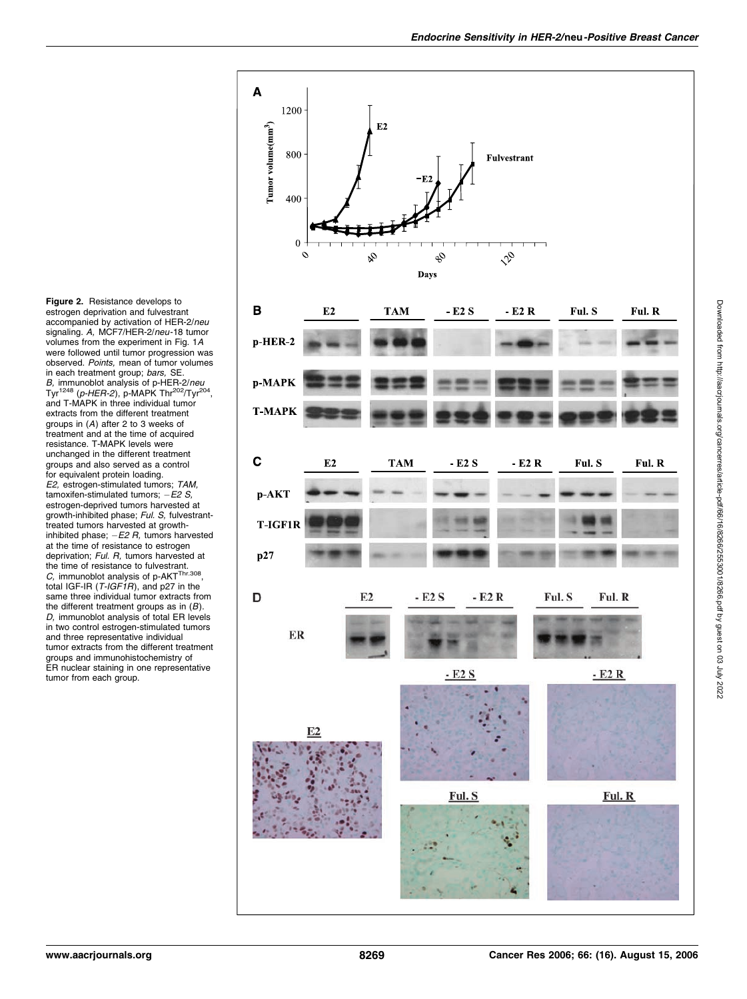Figure 2. Resistance develops to estrogen deprivation and fulvestrant accompanied by activation of HER-2/neu signaling. A, MCF7/HER-2/neu-18 tumor volumes from the experiment in Fig.1A were followed until tumor progression was observed. Points, mean of tumor volumes<br>in each treatment group; bars, SE. in each treatment group; *bars,* SE.<br>*B,* immunoblot analysis of p-HER-2/neu<br>Tyr<sup>1248</sup> (n-HER-2), p-MAPK Thr<sup>202</sup>/Tyr<sup>21</sup> Tyr<sup>1248</sup> (*p-HER-2*), p-MAPK Thr<sup>202</sup>/Tyr<sup>204</sup>,<br>and T-MAPK in three individual tumor extracts from the different treatment groups in (A) after 2 to 3 weeks of treatment and at the time of acquired resistance.T-MAPK levels were unchanged in the different treatment groups and also served as a control for equivalent protein loading. E2, estrogen-stimulated tumors; TAM, tamoxifen-stimulated tumors;  $-E2 S$ , estrogen-deprived tumors harvested at growth-inhibited phase; Ful. S, fulvestranttreated tumors harvested at growthinhibited phase;  $-E2$  R, tumors harvested<br>at the time of resistance to estrogen at the time of resistance to estrogen<br>deprivation; Ful. R, tumors harvested at deprivation; Ful. R, tumors harvested at<br>the time of resistance to fulvestrant.<br>C, immunoblot analysis of p-AKT<sup>Thr.308</sup>,<br>total IGE-IR (T-IGE1R), and p27 in the total IGF-IR (T-IGF1R), and p27 in the same three individual tumor extracts from the different treatment groups as in (*B*).<br>*D,* immunoblot analysis of total ER levels<br>in two control estrogen-stimulated tumors in two control estrogen-stimulated tumors and three representative individual tumor extracts from the different treatment groups and immunohistochemistry of ER nuclear staining in one representative tumor from each group.

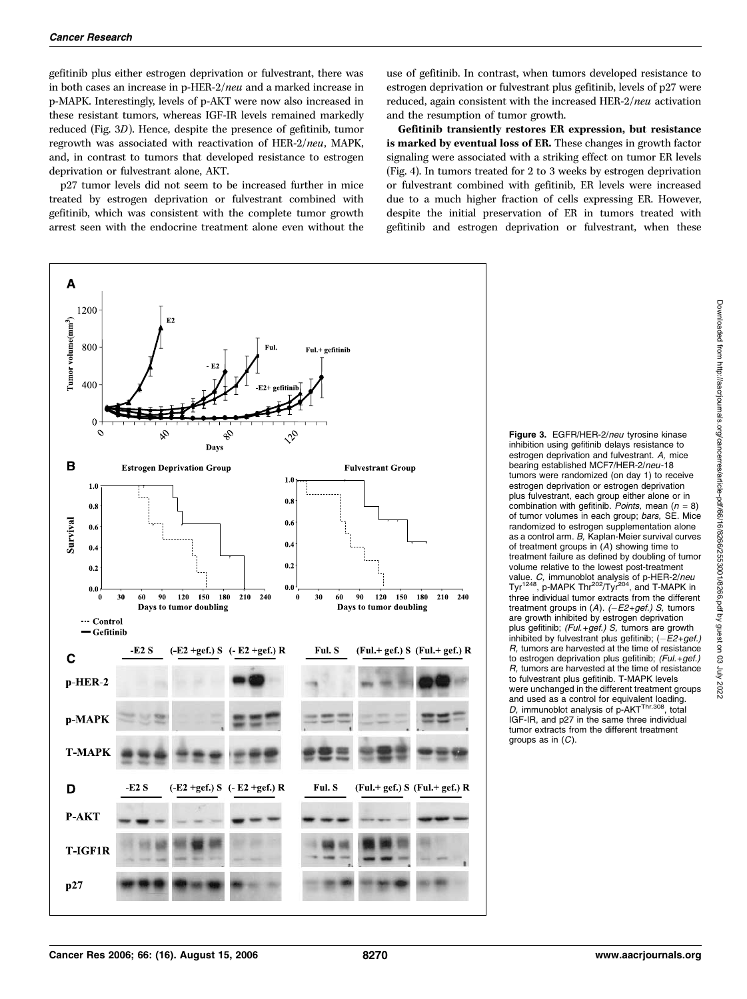gefitinib plus either estrogen deprivation or fulvestrant, there was in both cases an increase in p-HER-2/neu and a marked increase in p-MAPK. Interestingly, levels of p-AKT were now also increased in these resistant tumors, whereas IGF-IR levels remained markedly reduced (Fig. 3D). Hence, despite the presence of gefitinib, tumor regrowth was associated with reactivation of HER-2/neu, MAPK, and, in contrast to tumors that developed resistance to estrogen deprivation or fulvestrant alone, AKT.

p27 tumor levels did not seem to be increased further in mice treated by estrogen deprivation or fulvestrant combined with gefitinib, which was consistent with the complete tumor growth arrest seen with the endocrine treatment alone even without the

use of gefitinib. In contrast, when tumors developed resistance to estrogen deprivation or fulvestrant plus gefitinib, levels of p27 were reduced, again consistent with the increased HER-2/neu activation and the resumption of tumor growth.

Gefitinib transiently restores ER expression, but resistance is marked by eventual loss of ER. These changes in growth factor signaling were associated with a striking effect on tumor ER levels (Fig. 4). In tumors treated for 2 to 3 weeks by estrogen deprivation or fulvestrant combined with gefitinib, ER levels were increased due to a much higher fraction of cells expressing ER. However, despite the initial preservation of ER in tumors treated with gefitinib and estrogen deprivation or fulvestrant, when these



Figure 3. EGFR/HER-2/neu tyrosine kinase inhibition using gefitinib delays resistance to estrogen deprivation and fulvestrant. A, mice bearing established MCF7/HER-2/neu-18 tumors were randomized (on day 1) to receive estrogen deprivation or estrogen deprivation plus fulvestrant, each group either alone or in combination with gefitinib. Points, mean  $(n = 8)$ of tumor volumes in each group; bars, SE. Mice randomized to estrogen supplementation alone as a control arm.  $B$ , Kaplan-Meier survival curves of treatment groups in  $(A)$  showing time to of treatment groups in (A) showing time to treatment failure as defined by doubling of tumor volume relative to the lowest post-treatment value. *C,* immunoblot analysis of p-HER-2/*neu*<br>Tyr<sup>1248</sup>, p-MAPK Thr<sup>202</sup>/Tyr<sup>204</sup>, and T-MAPK in three individual tumor extracts from the different treatment groups in (A). *(-E2+gef.) S,* tumors<br>are growth inhibited by estrogen deprivation are growth inhibited by estrogen deprivation plus gefitinib; (Ful.+gef.) S, tumors are growth inhibited by fulvestrant plus gefitinib;  $(-E2+get)$ <br>B, tumors are harvested at the time of resistance R, tumors are harvested at the time of resistance to estrogen deprivation plus gefitinib; (Ful.+gef.) R, tumors are harvested at the time of resistance to fulvestrant plus gefitinib.T-MAPK levels were unchanged in the different treatment groups and used as a control for equivalent loading. D, immunoblot analysis of p-AKTThr.308, total IGF-IR, and p27 in the same three individual tumor extracts from the different treatment groups as in  $(C)$ .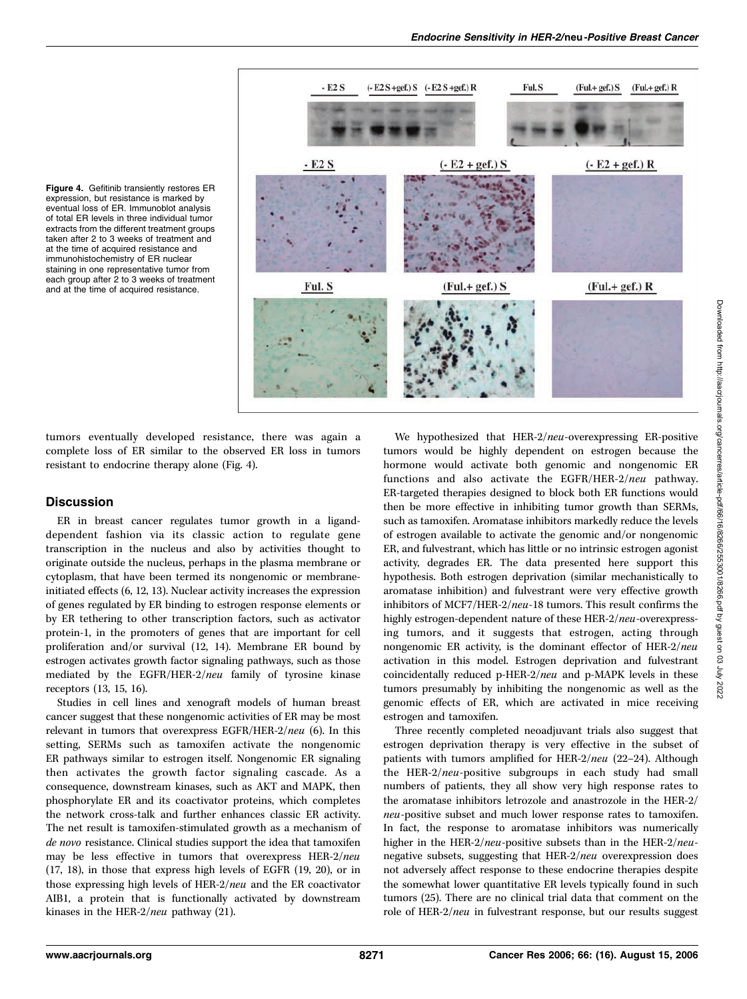



tumors eventually developed resistance, there was again a complete loss of ER similar to the observed ER loss in tumors resistant to endocrine therapy alone (Fig. 4).

## **Discussion**

ER in breast cancer regulates tumor growth in a liganddependent fashion via its classic action to regulate gene transcription in the nucleus and also by activities thought to originate outside the nucleus, perhaps in the plasma membrane or cytoplasm, that have been termed its nongenomic or membraneinitiated effects (6, 12, 13). Nuclear activity increases the expression of genes regulated by ER binding to estrogen response elements or by ER tethering to other transcription factors, such as activator protein-1, in the promoters of genes that are important for cell proliferation and/or survival (12, 14). Membrane ER bound by estrogen activates growth factor signaling pathways, such as those mediated by the EGFR/HER-2/neu family of tyrosine kinase receptors (13, 15, 16).

Studies in cell lines and xenograft models of human breast cancer suggest that these nongenomic activities of ER may be most relevant in tumors that overexpress EGFR/HER-2/neu (6). In this setting, SERMs such as tamoxifen activate the nongenomic ER pathways similar to estrogen itself. Nongenomic ER signaling then activates the growth factor signaling cascade. As a consequence, downstream kinases, such as AKT and MAPK, then phosphorylate ER and its coactivator proteins, which completes the network cross-talk and further enhances classic ER activity. The net result is tamoxifen-stimulated growth as a mechanism of de novo resistance. Clinical studies support the idea that tamoxifen may be less effective in tumors that overexpress HER-2/neu (17, 18), in those that express high levels of EGFR (19, 20), or in those expressing high levels of HER-2/neu and the ER coactivator AIB1, a protein that is functionally activated by downstream kinases in the HER-2/neu pathway (21).

We hypothesized that HER-2/neu-overexpressing ER-positive tumors would be highly dependent on estrogen because the hormone would activate both genomic and nongenomic ER functions and also activate the EGFR/HER-2/neu pathway. ER-targeted therapies designed to block both ER functions would then be more effective in inhibiting tumor growth than SERMs, such as tamoxifen. Aromatase inhibitors markedly reduce the levels of estrogen available to activate the genomic and/or nongenomic ER, and fulvestrant, which has little or no intrinsic estrogen agonist activity, degrades ER. The data presented here support this hypothesis. Both estrogen deprivation (similar mechanistically to aromatase inhibition) and fulvestrant were very effective growth inhibitors of MCF7/HER-2/neu-18 tumors. This result confirms the highly estrogen-dependent nature of these HER-2/neu-overexpressing tumors, and it suggests that estrogen, acting through nongenomic ER activity, is the dominant effector of HER-2/neu activation in this model. Estrogen deprivation and fulvestrant coincidentally reduced p-HER-2/neu and p-MAPK levels in these tumors presumably by inhibiting the nongenomic as well as the genomic effects of ER, which are activated in mice receiving estrogen and tamoxifen.

Three recently completed neoadjuvant trials also suggest that estrogen deprivation therapy is very effective in the subset of patients with tumors amplified for HER-2/neu (22–24). Although the HER-2/neu-positive subgroups in each study had small numbers of patients, they all show very high response rates to the aromatase inhibitors letrozole and anastrozole in the HER-2/ neu-positive subset and much lower response rates to tamoxifen. In fact, the response to aromatase inhibitors was numerically higher in the HER-2/neu-positive subsets than in the HER-2/neunegative subsets, suggesting that HER-2/neu overexpression does not adversely affect response to these endocrine therapies despite the somewhat lower quantitative ER levels typically found in such tumors (25). There are no clinical trial data that comment on the role of HER-2/neu in fulvestrant response, but our results suggest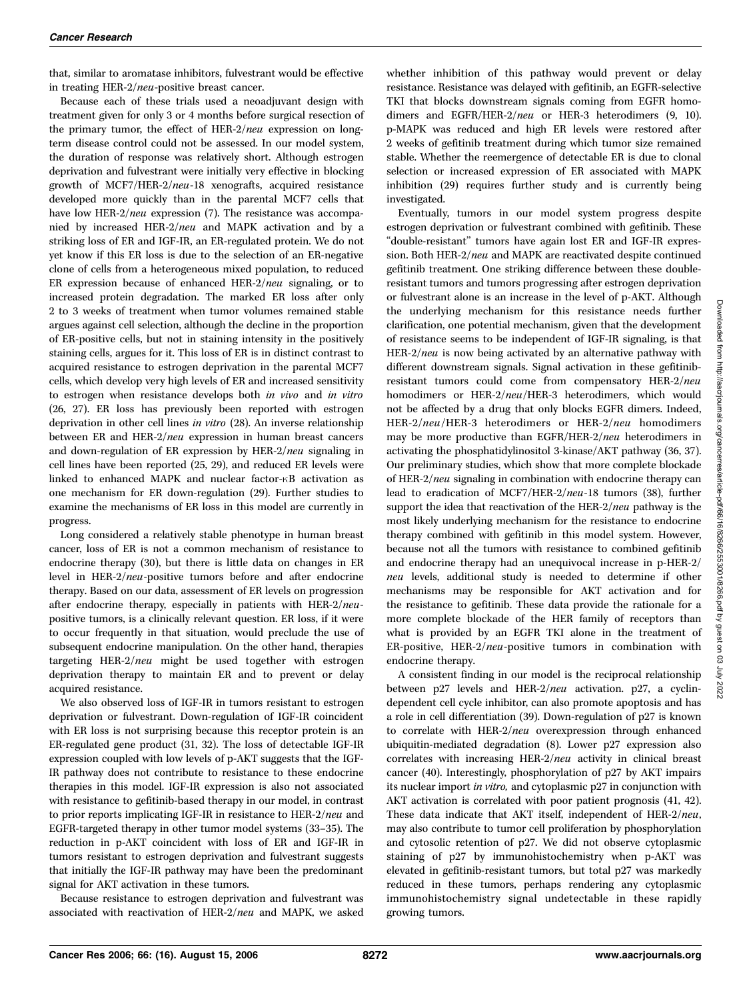that, similar to aromatase inhibitors, fulvestrant would be effective in treating HER-2/neu-positive breast cancer.

Because each of these trials used a neoadjuvant design with treatment given for only 3 or 4 months before surgical resection of the primary tumor, the effect of HER-2/neu expression on longterm disease control could not be assessed. In our model system, the duration of response was relatively short. Although estrogen deprivation and fulvestrant were initially very effective in blocking growth of MCF7/HER-2/neu-18 xenografts, acquired resistance developed more quickly than in the parental MCF7 cells that have low HER-2/*neu* expression (7). The resistance was accompanied by increased HER-2/neu and MAPK activation and by a striking loss of ER and IGF-IR, an ER-regulated protein. We do not yet know if this ER loss is due to the selection of an ER-negative clone of cells from a heterogeneous mixed population, to reduced ER expression because of enhanced HER-2/neu signaling, or to increased protein degradation. The marked ER loss after only 2 to 3 weeks of treatment when tumor volumes remained stable argues against cell selection, although the decline in the proportion of ER-positive cells, but not in staining intensity in the positively staining cells, argues for it. This loss of ER is in distinct contrast to acquired resistance to estrogen deprivation in the parental MCF7 cells, which develop very high levels of ER and increased sensitivity to estrogen when resistance develops both in vivo and in vitro (26, 27). ER loss has previously been reported with estrogen deprivation in other cell lines in vitro (28). An inverse relationship between ER and HER-2/neu expression in human breast cancers and down-regulation of ER expression by HER-2/neu signaling in cell lines have been reported (25, 29), and reduced ER levels were linked to enhanced MAPK and nuclear factor- $\kappa$ B activation as one mechanism for ER down-regulation (29). Further studies to examine the mechanisms of ER loss in this model are currently in progress.

Long considered a relatively stable phenotype in human breast cancer, loss of ER is not a common mechanism of resistance to endocrine therapy (30), but there is little data on changes in ER level in HER-2/neu-positive tumors before and after endocrine therapy. Based on our data, assessment of ER levels on progression after endocrine therapy, especially in patients with HER-2/neupositive tumors, is a clinically relevant question. ER loss, if it were to occur frequently in that situation, would preclude the use of subsequent endocrine manipulation. On the other hand, therapies targeting HER-2/neu might be used together with estrogen deprivation therapy to maintain ER and to prevent or delay acquired resistance.

We also observed loss of IGF-IR in tumors resistant to estrogen deprivation or fulvestrant. Down-regulation of IGF-IR coincident with ER loss is not surprising because this receptor protein is an ER-regulated gene product (31, 32). The loss of detectable IGF-IR expression coupled with low levels of p-AKT suggests that the IGF-IR pathway does not contribute to resistance to these endocrine therapies in this model. IGF-IR expression is also not associated with resistance to gefitinib-based therapy in our model, in contrast to prior reports implicating IGF-IR in resistance to HER-2/neu and EGFR-targeted therapy in other tumor model systems (33–35). The reduction in p-AKT coincident with loss of ER and IGF-IR in tumors resistant to estrogen deprivation and fulvestrant suggests that initially the IGF-IR pathway may have been the predominant signal for AKT activation in these tumors.

Because resistance to estrogen deprivation and fulvestrant was associated with reactivation of HER-2/neu and MAPK, we asked whether inhibition of this pathway would prevent or delay resistance. Resistance was delayed with gefitinib, an EGFR-selective TKI that blocks downstream signals coming from EGFR homodimers and EGFR/HER-2/neu or HER-3 heterodimers (9, 10). p-MAPK was reduced and high ER levels were restored after 2 weeks of gefitinib treatment during which tumor size remained stable. Whether the reemergence of detectable ER is due to clonal selection or increased expression of ER associated with MAPK inhibition (29) requires further study and is currently being investigated.

Eventually, tumors in our model system progress despite estrogen deprivation or fulvestrant combined with gefitinib. These ''double-resistant'' tumors have again lost ER and IGF-IR expression. Both HER-2/neu and MAPK are reactivated despite continued gefitinib treatment. One striking difference between these doubleresistant tumors and tumors progressing after estrogen deprivation or fulvestrant alone is an increase in the level of p-AKT. Although the underlying mechanism for this resistance needs further clarification, one potential mechanism, given that the development of resistance seems to be independent of IGF-IR signaling, is that HER-2/neu is now being activated by an alternative pathway with different downstream signals. Signal activation in these gefitinibresistant tumors could come from compensatory HER-2/neu homodimers or HER-2/neu/HER-3 heterodimers, which would not be affected by a drug that only blocks EGFR dimers. Indeed, HER-2/neu/HER-3 heterodimers or HER-2/neu homodimers may be more productive than EGFR/HER-2/neu heterodimers in activating the phosphatidylinositol 3-kinase/AKT pathway (36, 37). Our preliminary studies, which show that more complete blockade of HER-2/neu signaling in combination with endocrine therapy can lead to eradication of MCF7/HER-2/neu-18 tumors (38), further support the idea that reactivation of the HER-2/neu pathway is the most likely underlying mechanism for the resistance to endocrine therapy combined with gefitinib in this model system. However, because not all the tumors with resistance to combined gefitinib and endocrine therapy had an unequivocal increase in p-HER-2/ neu levels, additional study is needed to determine if other mechanisms may be responsible for AKT activation and for the resistance to gefitinib. These data provide the rationale for a more complete blockade of the HER family of receptors than what is provided by an EGFR TKI alone in the treatment of ER-positive, HER-2/neu-positive tumors in combination with endocrine therapy.

A consistent finding in our model is the reciprocal relationship between p27 levels and HER-2/neu activation. p27, a cyclindependent cell cycle inhibitor, can also promote apoptosis and has a role in cell differentiation (39). Down-regulation of p27 is known to correlate with HER-2/neu overexpression through enhanced ubiquitin-mediated degradation (8). Lower p27 expression also correlates with increasing HER-2/neu activity in clinical breast cancer (40). Interestingly, phosphorylation of p27 by AKT impairs its nuclear import in vitro, and cytoplasmic p27 in conjunction with AKT activation is correlated with poor patient prognosis (41, 42). These data indicate that AKT itself, independent of HER-2/neu, may also contribute to tumor cell proliferation by phosphorylation and cytosolic retention of p27. We did not observe cytoplasmic staining of p27 by immunohistochemistry when p-AKT was elevated in gefitinib-resistant tumors, but total p27 was markedly reduced in these tumors, perhaps rendering any cytoplasmic immunohistochemistry signal undetectable in these rapidly growing tumors.